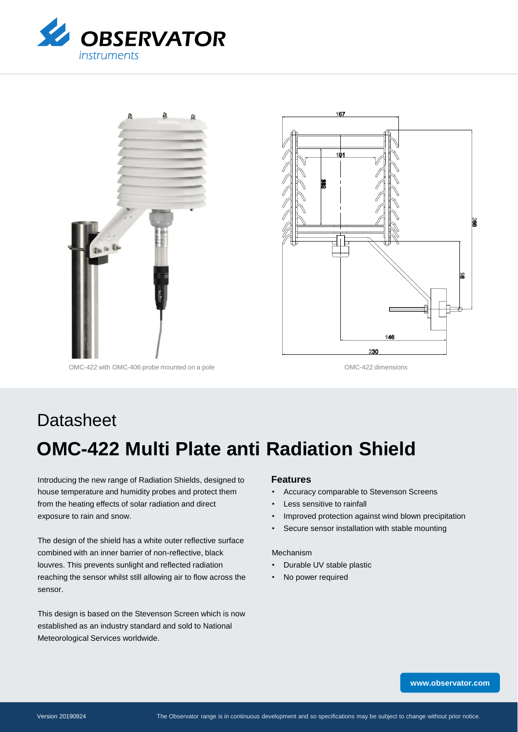



OMC-422 with OMC-406 probe mounted on a pole of the CMC-422 dimensions

# **OMC-422 Multi Plate anti Radiation Shield Datasheet**

Introducing the new range of Radiation Shields, designed to house temperature and humidity probes and protect them from the heating effects of solar radiation and direct exposure to rain and snow.

The design of the shield has a white outer reflective surface combined with an inner barrier of non-reflective, black louvres. This prevents sunlight and reflected radiation reaching the sensor whilst still allowing air to flow across the sensor.

This design is based on the Stevenson Screen which is now established as an industry standard and sold to National Meteorological Services worldwide.

#### **Features**

- Accuracy comparable to Stevenson Screens
- Less sensitive to rainfall
- Improved protection against wind blown precipitation
- Secure sensor installation with stable mounting

#### Mechanism

- Durable UV stable plastic
- No power required

X